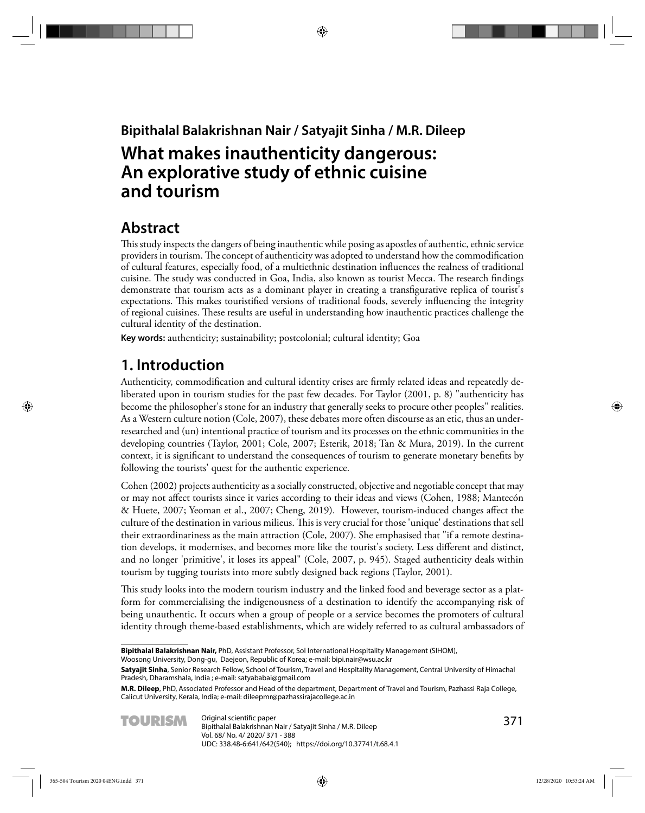## **Bipithalal Balakrishnan Nair / Satyajit Sinha / M.R. Dileep**

# **What makes inauthenticity dangerous: An explorative study of ethnic cuisine and tourism**

## **Abstract**

This study inspects the dangers of being inauthentic while posing as apostles of authentic, ethnic service providers in tourism. The concept of authenticity was adopted to understand how the commodification of cultural features, especially food, of a multiethnic destination infl uences the realness of traditional cuisine. The study was conducted in Goa, India, also known as tourist Mecca. The research findings demonstrate that tourism acts as a dominant player in creating a transfigurative replica of tourist's expectations. This makes touristified versions of traditional foods, severely influencing the integrity of regional cuisines. These results are useful in understanding how inauthentic practices challenge the cultural identity of the destination.

**Key words:** authenticity; sustainability; postcolonial; cultural identity; Goa

## **1. Introduction**

Authenticity, commodification and cultural identity crises are firmly related ideas and repeatedly deliberated upon in tourism studies for the past few decades. For Taylor (2001, p. 8) "authenticity has become the philosopher's stone for an industry that generally seeks to procure other peoples" realities. As a Western culture notion (Cole, 2007), these debates more often discourse as an etic, thus an underresearched and (un) intentional practice of tourism and its processes on the ethnic communities in the developing countries (Taylor, 2001; Cole, 2007; Esterik, 2018; Tan & Mura, 2019). In the current context, it is significant to understand the consequences of tourism to generate monetary benefits by following the tourists' quest for the authentic experience.

 Cohen (2002) projects authenticity as a socially constructed, objective and negotiable concept that may or may not affect tourists since it varies according to their ideas and views (Cohen, 1988; Mantecón & Huete, 2007; Yeoman et al., 2007; Cheng, 2019). However, tourism-induced changes affect the culture of the destination in various milieus. This is very crucial for those 'unique' destinations that sell their extraordinariness as the main attraction (Cole, 2007). She emphasised that "if a remote destination develops, it modernises, and becomes more like the tourist's society. Less different and distinct, and no longer 'primitive', it loses its appeal" (Cole, 2007, p. 945). Staged authenticity deals within tourism by tugging tourists into more subtly designed back regions (Taylor, 2001).

This study looks into the modern tourism industry and the linked food and beverage sector as a platform for commercialising the indigenousness of a destination to identify the accompanying risk of being unauthentic. It occurs when a group of people or a service becomes the promoters of cultural identity through theme-based establishments, which are widely referred to as cultural ambassadors of

Woosong University, Dong-gu, Daejeon, Republic of Korea; e-mail: bipi.nair@wsu.ac.kr

**M.R. Dileep**, PhD, Associated Professor and Head of the department, Department of Travel and Tourism, Pazhassi Raja College, Calicut University, Kerala, India; e-mail: dileepmr@pazhassirajacollege.ac.in



**Bipithalal Balakrishnan Nair,** PhD, Assistant Professor, Sol International Hospitality Management (SIHOM),

**Satyajit Sinha**, Senior Research Fellow, School of Tourism, Travel and Hospitality Management, Central University of Himachal Pradesh, Dharamshala, India ; e-mail: satyababai@gmail.com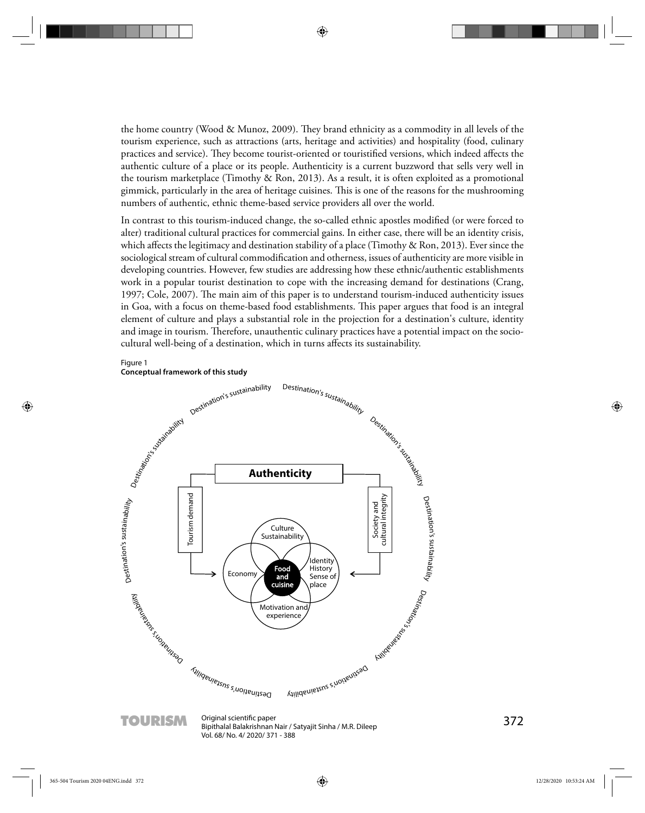the home country (Wood & Munoz, 2009). They brand ethnicity as a commodity in all levels of the tourism experience, such as attractions (arts, heritage and activities) and hospitality (food, culinary practices and service). They become tourist-oriented or touristified versions, which indeed affects the authentic culture of a place or its people. Authenticity is a current buzzword that sells very well in the tourism marketplace (Timothy & Ron, 2013). As a result, it is often exploited as a promotional gimmick, particularly in the area of heritage cuisines. This is one of the reasons for the mushrooming numbers of authentic, ethnic theme-based service providers all over the world.

In contrast to this tourism-induced change, the so-called ethnic apostles modified (or were forced to alter) traditional cultural practices for commercial gains. In either case, there will be an identity crisis, which affects the legitimacy and destination stability of a place (Timothy & Ron, 2013). Ever since the sociological stream of cultural commodification and otherness, issues of authenticity are more visible in developing countries . However, few studies are addressing how these ethnic/authentic establishments work in a popular tourist destination to cope with the increasing demand for destinations (Crang, 1997; Cole, 2007). The main aim of this paper is to understand tourism-induced authenticity issues in Goa, with a focus on theme-based food establishments. This paper argues that food is an integral element of culture and plays a substantial role in the projection for a destination's culture, identity and image in tourism. Therefore, unauthentic culinary practices have a potential impact on the sociocultural well-being of a destination, which in turns affects its sustainability.

#### Figure 1

**Conceptual framework of this study**



**TOURISM** Original scientific paper<br>Bipithalal Balakrishnan Nair / Satyajit Sinha / M.R. Dileep 372 Vol. 68/ No. 4/ 2020/ 371 - 388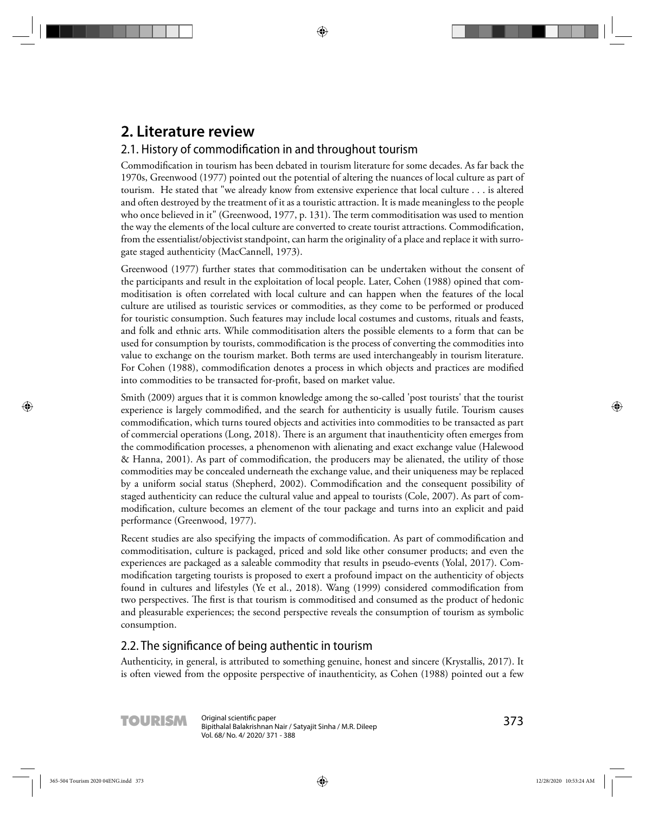# **2. Literature review**

## 2.1. History of commodification in and throughout tourism

Commodification in tourism has been debated in tourism literature for some decades. As far back the 1970s, Greenwood (1977) pointed out the potential of altering the nuances of local culture as part of tourism. He stated that "we already know from extensive experience that local culture . . . is altered and often destroyed by the treatment of it as a touristic attraction. It is made meaningless to the people who once believed in it" (Greenwood, 1977, p. 131). The term commoditisation was used to mention the way the elements of the local culture are converted to create tourist attractions. Commodification, from the essentialist/objectivist standpoint, can harm the originality of a place and replace it with surrogate staged authenticity (MacCannell, 1973).

Greenwood (1977) further states that commoditisation can be undertaken without the consent of the participants and result in the exploitation of local people. Later, Cohen (1988) opined that commoditisation is often correlated with local culture and can happen when the features of the local culture are utilised as touristic services or commodities, as they come to be performed or produced for touristic consumption. Such features may include local costumes and customs, rituals and feasts, and folk and ethnic arts. While commoditisation alters the possible elements to a form that can be used for consumption by tourists, commodification is the process of converting the commodities into value to exchange on the tourism market. Both terms are used interchangeably in tourism literature. For Cohen (1988), commodification denotes a process in which objects and practices are modified into commodities to be transacted for-profit, based on market value.

Smith (2009) argues that it is common knowledge among the so-called 'post tourists' that the tourist experience is largely commodified, and the search for authenticity is usually futile. Tourism causes commodification, which turns toured objects and activities into commodities to be transacted as part of commercial operations (Long, 2018). There is an argument that inauthenticity often emerges from the commodification processes, a phenomenon with alienating and exact exchange value (Halewood  $&$  Hanna, 2001). As part of commodification, the producers may be alienated, the utility of those commodities may be concealed underneath the exchange value, and their uniqueness may be replaced by a uniform social status (Shepherd, 2002). Commodification and the consequent possibility of staged authenticity can reduce the cultural value and appeal to tourists (Cole, 2007). As part of commodification, culture becomes an element of the tour package and turns into an explicit and paid performance (Greenwood, 1977).

Recent studies are also specifying the impacts of commodification. As part of commodification and commoditisation, culture is packaged, priced and sold like other consumer products; and even the experiences are packaged as a saleable commodity that results in pseudo-events (Yolal, 2017). Commodification targeting tourists is proposed to exert a profound impact on the authenticity of objects found in cultures and lifestyles (Ye et al., 2018). Wang (1999) considered commodification from two perspectives. The first is that tourism is commoditised and consumed as the product of hedonic and pleasurable experiences; the second perspective reveals the consumption of tourism as symbolic consumption.

### 2.2. The significance of being authentic in tourism

Authenticity, in general, is attributed to something genuine, honest and sincere (Krystallis, 2017). It is often viewed from the opposite perspective of inauthenticity, as Cohen (1988) pointed out a few

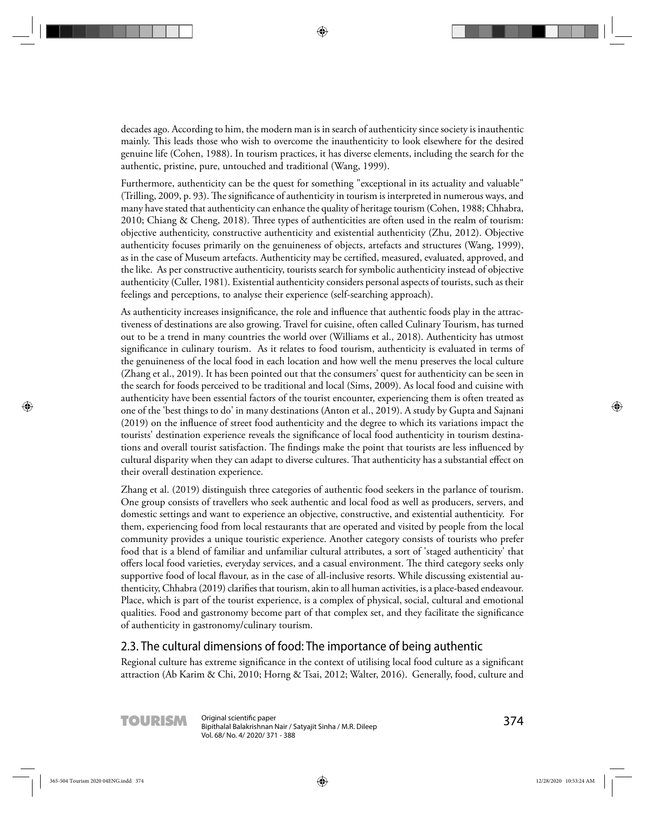decades ago. According to him, the modern man is in search of authenticity since society is inauthentic mainly. This leads those who wish to overcome the inauthenticity to look elsewhere for the desired genuine life (Cohen, 1988). In tourism practices, it has diverse elements, including the search for the authentic, pristine, pure, untouched and traditional (Wang, 1999).

Furthermore, authenticity can be the quest for something "exceptional in its actuality and valuable" (Trilling, 2009, p. 93). The significance of authenticity in tourism is interpreted in numerous ways, and many have stated that authenticity can enhance the quality of heritage tourism (Cohen, 1988; Chhabra,  $2010$ ; Chiang & Cheng,  $2018$ ). Three types of authenticities are often used in the realm of tourism: objective authenticity, constructive authenticity and existential authenticity (Zhu, 2012). Objective authenticity focuses primarily on the genuineness of objects, artefacts and structures (Wang, 1999), as in the case of Museum artefacts. Authenticity may be certified, measured, evaluated, approved, and the like. As per constructive authenticity, tourists search for symbolic authenticity instead of objective authenticity (Culler, 1981). Existential authenticity considers personal aspects of tourists, such as their feelings and perceptions, to analyse their experience (self-searching approach).

As authenticity increases insignificance, the role and influence that authentic foods play in the attractiveness of destinations are also growing. Travel for cuisine, often called Culinary Tourism, has turned out to be a trend in many countries the world over (Williams et al., 2018). Authenticity has utmost significance in culinary tourism. As it relates to food tourism, authenticity is evaluated in terms of the genuineness of the local food in each location and how well the menu preserves the local culture (Zhang et al., 2019). It has been pointed out that the consumers' quest for authenticity can be seen in the search for foods perceived to be traditional and local (Sims, 2009). As local food and cuisine with authenticity have been essential factors of the tourist encounter, experiencing them is often treated as one of the 'best things to do' in many destinations (Anton et al., 2019). A study by Gupta and Sajnani (2019) on the influence of street food authenticity and the degree to which its variations impact the tourists' destination experience reveals the significance of local food authenticity in tourism destinations and overall tourist satisfaction. The findings make the point that tourists are less influenced by cultural disparity when they can adapt to diverse cultures. That authenticity has a substantial effect on their overall destination experience.

Zhang et al. (2019) distinguish three categories of authentic food seekers in the parlance of tourism. One group consists of travellers who seek authentic and local food as well as producers, servers, and domestic settings and want to experience an objective, constructive, and existential authenticity. For them, experiencing food from local restaurants that are operated and visited by people from the local community provides a unique touristic experience. Another category consists of tourists who prefer food that is a blend of familiar and unfamiliar cultural attributes, a sort of 'staged authenticity' that offers local food varieties, everyday services, and a casual environment. The third category seeks only supportive food of local flavour, as in the case of all-inclusive resorts. While discussing existential authenticity, Chhabra (2019) clarifies that tourism, akin to all human activities, is a place-based endeavour. Place, which is part of the tourist experience, is a complex of physical, social, cultural and emotional qualities. Food and gastronomy become part of that complex set, and they facilitate the significance of authenticity in gastronomy/culinary tourism.

#### 2 .3. The cultural dimensions of food: The importance of being authentic

Regional culture has extreme significance in the context of utilising local food culture as a significant attraction (Ab Karim & Chi, 2010; Horng & Tsai, 2012; Walter, 2016). Generally, food, culture and

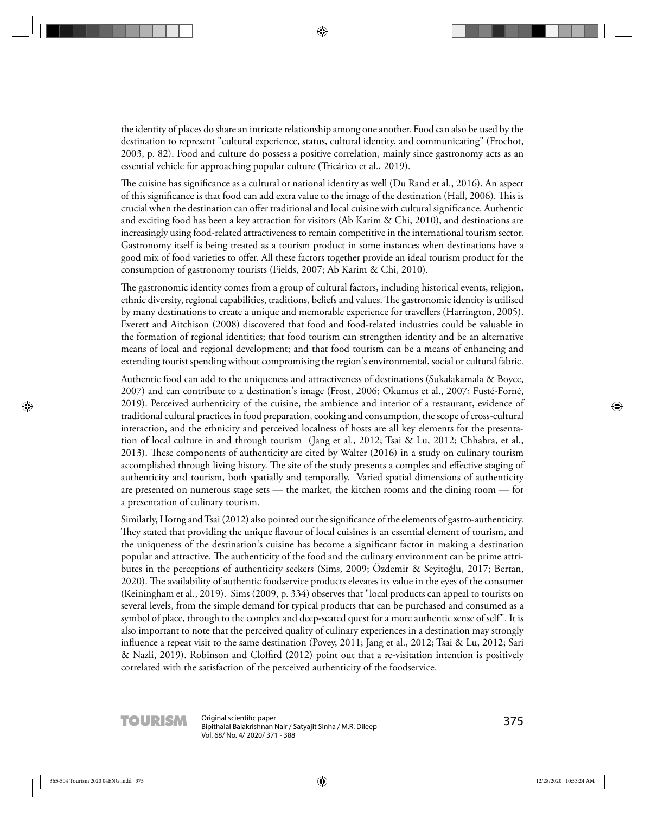the identity of places do share an intricate relationship among one another. Food can also be used by the destination to represent "cultural experience, status, cultural identity, and communicating" (Frochot, 2003, p. 82). Food and culture do possess a positive correlation, mainly since gastronomy acts as an essential vehicle for approaching popular culture (Tricárico et al., 2019).

The cuisine has significance as a cultural or national identity as well (Du Rand et al., 2016). An aspect of this significance is that food can add extra value to the image of the destination (Hall, 2006). This is crucial when the destination can offer traditional and local cuisine with cultural significance. Authentic and exciting food has been a key attraction for visitors (Ab Karim & Chi, 2010), and destinations are increasingly using food-related attractiveness to remain competitive in the international tourism sector. Gastronomy itself is being treated as a tourism product in some instances when destinations have a good mix of food varieties to offer. All these factors together provide an ideal tourism product for the consumption of gastronomy tourists (Fields, 2007; Ab Karim & Chi, 2010).

The gastronomic identity comes from a group of cultural factors, including historical events, religion, ethnic diversity, regional capabilities, traditions, beliefs and values. The gastronomic identity is utilised by many destinations to create a unique and memorable experience for travellers (Harrington, 2005). Everett and Aitchison (2008) discovered that food and food-related industries could be valuable in the formation of regional identities; that food tourism can strengthen identity and be an alternative means of local and regional development; and that food tourism can be a means of enhancing and extending tourist spending without compromising the region's environmental, social or cultural fabric.

Authentic food can add to the uniqueness and attractiveness of destinations (Sukalakamala & Boyce, 2007) and can contribute to a destination's image (Frost, 2006; Okumus et al., 2007; Fusté-Forné, 2019). Perceived authenticity of the cuisine, the ambience and interior of a restaurant, evidence of traditional cultural practices in food preparation, cooking and consumption, the scope of cross-cultural interaction, and the ethnicity and perceived localness of hosts are all key elements for the presentation of local culture in and through tourism (Jang et al., 2012; Tsai & Lu, 2012; Chhabra, et al., 2013). These components of authenticity are cited by Walter (2016) in a study on culinary tourism accomplished through living history. The site of the study presents a complex and effective staging of authenticity and tourism, both spatially and temporally. Varied spatial dimensions of authenticity are presented on numerous stage sets — the market, the kitchen rooms and the dining room — for a presentation of culinary tourism.

Similarly, Horng and Tsai (2012) also pointed out the significance of the elements of gastro-authenticity. They stated that providing the unique flavour of local cuisines is an essential element of tourism, and the uniqueness of the destination's cuisine has become a significant factor in making a destination popular and attractive. The authenticity of the food and the culinary environment can be prime attributes in the perceptions of authenticity seekers (Sims, 2009; Özdemir & Seyitoğlu, 2017; Bertan, 2020). The availability of authentic foodservice products elevates its value in the eyes of the consumer (Keiningham et al., 2019). Sims (2009, p. 334) observes that "local products can appeal to tourists on several levels, from the simple demand for typical products that can be purchased and consumed as a symbol of place, through to the complex and deep-seated quest for a more authentic sense of self". It is also important to note that the perceived quality of culinary experiences in a destination may strongly influence a repeat visit to the same destination (Povey, 2011; Jang et al., 2012; Tsai & Lu, 2012; Sari & Nazli, 2019). Robinson and Cloffird (2012) point out that a re-visitation intention is positively correlated with the satisfaction of the perceived authenticity of the foodservice.

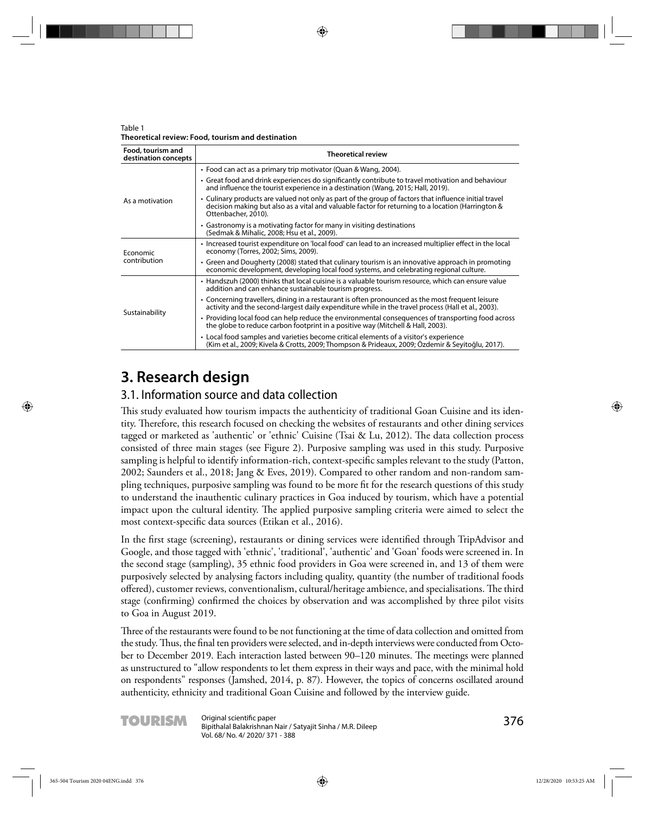Table 1 **Theoretical review: Food, tourism and destination** 

| Food, tourism and<br>destination concepts | <b>Theoretical review</b>                                                                                                                                                                                                         |  |  |
|-------------------------------------------|-----------------------------------------------------------------------------------------------------------------------------------------------------------------------------------------------------------------------------------|--|--|
| As a motivation                           | • Food can act as a primary trip motivator (Quan & Wang, 2004).                                                                                                                                                                   |  |  |
|                                           | • Great food and drink experiences do significantly contribute to travel motivation and behaviour<br>and influence the tourist experience in a destination (Wang, 2015; Hall, 2019).                                              |  |  |
|                                           | • Culinary products are valued not only as part of the group of factors that influence initial travel<br>decision making but also as a vital and valuable factor for returning to a location (Harrington &<br>Ottenbacher, 2010). |  |  |
|                                           | • Gastronomy is a motivating factor for many in visiting destinations<br>(Sedmak & Mihalic, 2008; Hsu et al., 2009).                                                                                                              |  |  |
| Economic<br>contribution                  | • Increased tourist expenditure on 'local food' can lead to an increased multiplier effect in the local<br>economy (Torres, 2002; Sims, 2009).                                                                                    |  |  |
|                                           | • Green and Dougherty (2008) stated that culinary tourism is an innovative approach in promoting<br>economic development, developing local food systems, and celebrating regional culture.                                        |  |  |
| Sustainability                            | • Handszuh (2000) thinks that local cuisine is a valuable tourism resource, which can ensure value<br>addition and can enhance sustainable tourism progress.                                                                      |  |  |
|                                           | • Concerning travellers, dining in a restaurant is often pronounced as the most frequent leisure<br>activity and the second-largest daily expenditure while in the travel process (Hall et al., 2003).                            |  |  |
|                                           | • Providing local food can help reduce the environmental consequences of transporting food across<br>the globe to reduce carbon footprint in a positive way (Mitchell & Hall, 2003).                                              |  |  |
|                                           | • Local food samples and varieties become critical elements of a visitor's experience<br>(Kim et al., 2009; Kivela & Crotts, 2009; Thompson & Prideaux, 2009; Özdemir & Seyitoğlu, 2017).                                         |  |  |

# **3. Research design**

## 3.1. Information source and data collection

This study evaluated how tourism impacts the authenticity of traditional Goan Cuisine and its identity. Th erefore, this research focused on checking the websites of restaurants and other dining services tagged or marketed as 'authentic' or 'ethnic' Cuisine (Tsai & Lu, 2012). The data collection process consisted of three main stages (see Figure 2). Purposive sampling was used in this study. Purposive sampling is helpful to identify information-rich, context-specific samples relevant to the study (Patton, 2002; Saunders et al., 2018; Jang & Eves, 2019). Compared to other random and non-random sampling techniques, purposive sampling was found to be more fit for the research questions of this study to understand the inauthentic culinary practices in Goa induced by tourism, which have a potential impact upon the cultural identity. The applied purposive sampling criteria were aimed to select the most context-specific data sources (Etikan et al., 2016).

In the first stage (screening), restaurants or dining services were identified through TripAdvisor and Google, and those tagged with 'ethnic', 'traditional', 'authentic' and 'Goan' foods were screened in. In the second stage (sampling), 35 ethnic food providers in Goa were screened in, and 13 of them were purposively selected by analysing factors including quality, quantity (the number of traditional foods offered), customer reviews, conventionalism, cultural/heritage ambience, and specialisations. The third stage (confirming) confirmed the choices by observation and was accomplished by three pilot visits to Goa in August 2019.

Three of the restaurants were found to be not functioning at the time of data collection and omitted from the study. Thus, the final ten providers were selected, and in-depth interviews were conducted from October to December 2019. Each interaction lasted between 90–120 minutes. The meetings were planned as unstructured to "allow respondents to let them express in their ways and pace, with the minimal hold on respondents" responses (Jamshed, 2014, p. 87). However, the topics of concerns oscillated around authenticity, ethnicity and traditional Goan Cuisine and followed by the interview guide.

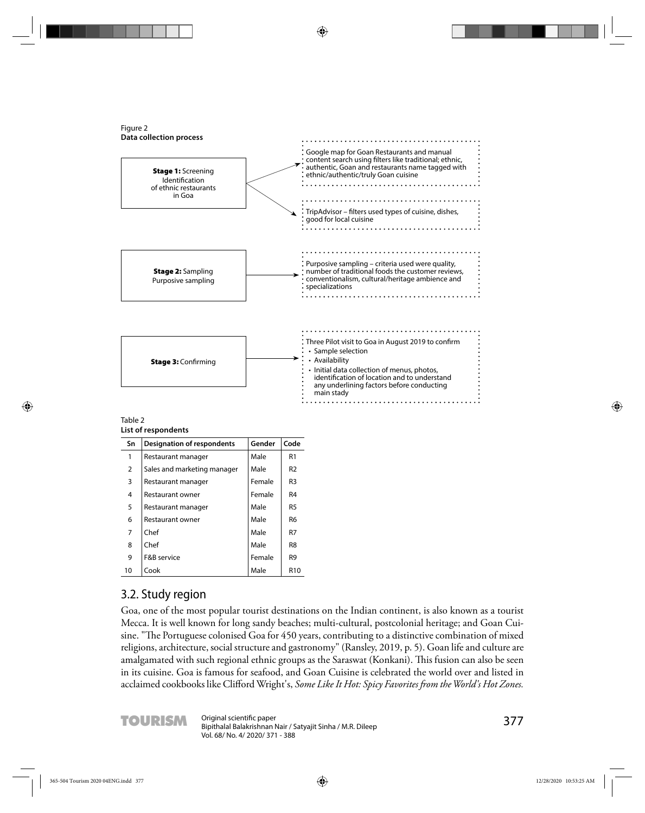

| Table 2             |  |
|---------------------|--|
| List of respondents |  |

| Sn | <b>Designation of respondents</b> | Gender | Code            |
|----|-----------------------------------|--------|-----------------|
| 1  | Restaurant manager                | Male   | R <sub>1</sub>  |
| 2  | Sales and marketing manager       | Male   | R <sub>2</sub>  |
| 3  | Restaurant manager                | Female | R3              |
| 4  | Restaurant owner                  | Female | R <sub>4</sub>  |
| 5  | Restaurant manager                | Male   | R5              |
| 6  | Restaurant owner                  | Male   | R6              |
| 7  | Chef                              | Male   | R7              |
| 8  | Chef                              | Male   | R8              |
| 9  | F&B service                       | Female | R <sub>9</sub>  |
| 10 | Cook                              | Male   | R <sub>10</sub> |

### 3.2. Study region

Goa, one of the most popular tourist destinations on the Indian continent, is also known as a tourist Mecca. It is well known for long sandy beaches; multi-cultural, postcolonial heritage; and Goan Cuisine. "The Portuguese colonised Goa for 450 years, contributing to a distinctive combination of mixed religions, architecture, social structure and gastronomy" (Ransley, 2019, p. 5). Goan life and culture are amalgamated with such regional ethnic groups as the Saraswat (Konkani). This fusion can also be seen in its cuisine. Goa is famous for seafood, and Goan Cuisine is celebrated the world over and listed in acclaimed cookbooks like Clifford Wright's, *Some Like It Hot: Spicy Favorites from the World's Hot Zones.* 

**TOURISM** Original scientific paper<br>Bipithalal Balakrishnan Nair / Satyajit Sinha / M.R. Dileep<br>**Source** Satyan Disperse States of the Satyan Disperse States of the Bileep Vol. 68/ No. 4/ 2020/ 371 - 388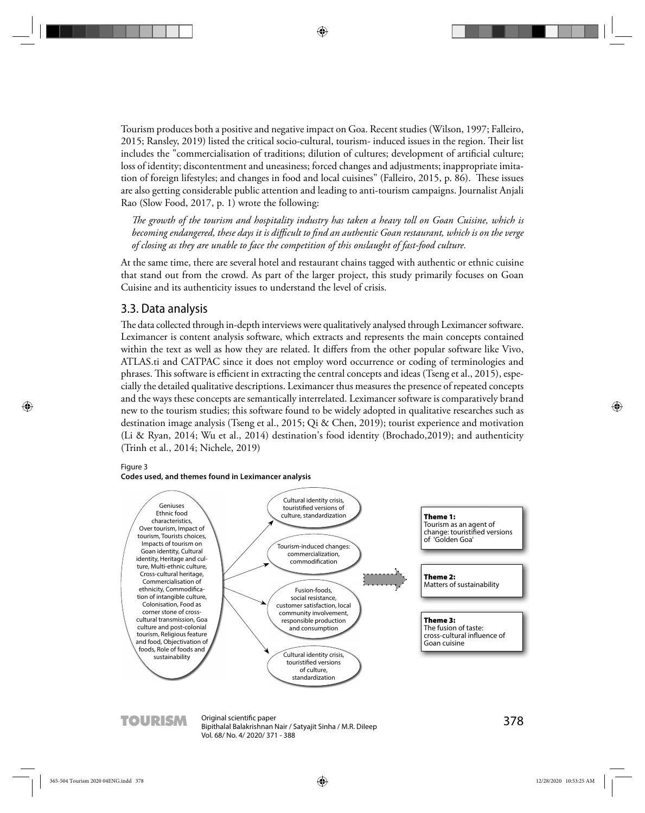Tourism produces both a positive and negative impact on Goa. Recent studies (Wilson, 1997; Falleiro, 2015; Ransley, 2019) listed the critical socio-cultural, tourism- induced issues in the region. Their list includes the "commercialisation of traditions; dilution of cultures; development of artificial culture; loss of identity; discontentment and uneasiness; forced changes and adjustments; inappropriate imitation of foreign lifestyles; and changes in food and local cuisines" (Falleiro, 2015, p. 86). These issues are also getting considerable public attention and leading to anti-tourism campaigns. Journalist Anjali Rao (Slow Food, 2017, p. 1) wrote the following:

The growth of the tourism and hospitality industry has taken a heavy toll on Goan Cuisine, which is *becoming endangered, these days it is diffi cult to fi nd an authentic Goan restaurant, which is on the verge of closing as they are unable to face the competition of this onslaught of fast-food culture.*

At the same time, there are several hotel and restaurant chains tagged with authentic or ethnic cuisine that stand out from the crowd. As part of the larger project, this study primarily focuses on Goan Cuisine and its authenticity issues to understand the level of crisis.

#### 3.3. Data analysis

The data collected through in-depth interviews were qualitatively analysed through Leximancer software. Leximancer is content analysis software, which extracts and represents the main concepts contained within the text as well as how they are related. It differs from the other popular software like Vivo, ATLAS.ti and CATPAC since it does not employ word occurrence or coding of terminologies and phrases. This software is efficient in extracting the central concepts and ideas (Tseng et al., 2015), especially the detailed qualitative descriptions. Leximancer thus measures the presence of repeated concepts and the ways these concepts are semantically interrelated. Leximancer software is comparatively brand new to the tourism studies; this software found to be widely adopted in qualitative researches such as destination image analysis (Tseng et al., 2015; Qi & Chen, 2019); tourist experience and motivation (Li & Ryan, 2014; Wu et al., 2014) destination's food identity (Brochado,2019); and authenticity (Trinh et al., 2014; Nichele, 2019)

#### Figure 3





TOURISM Original scientific paper<br>Bipithalal Balakrishnan Nair / Satyajit Sinha / M.R. Dileep<br>
States of the Satyan Mair / Satyajit Sinha / M.R. Dileep Vol. 68/ No. 4/ 2020/ 371 - 388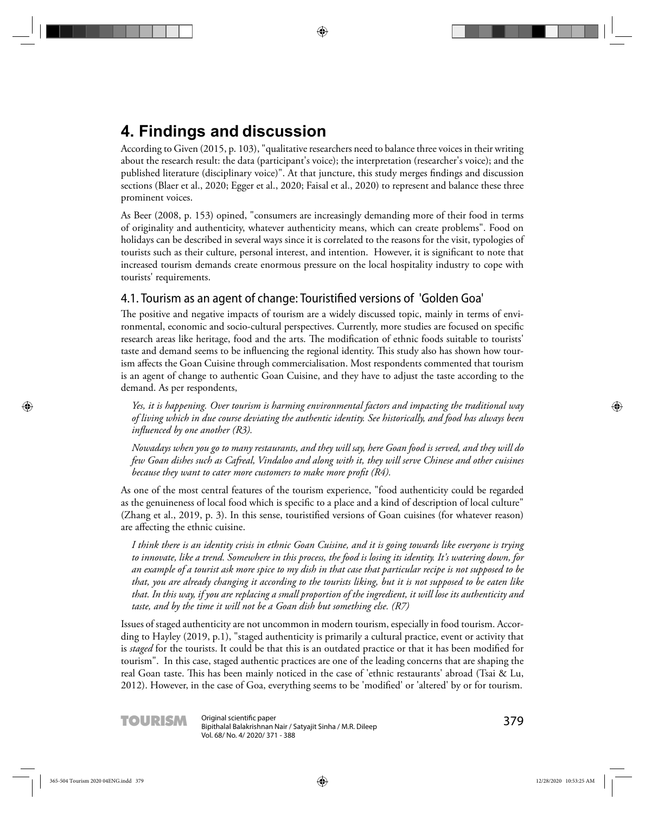# **4. Findings and discussion**

A ccording to Given (2015, p. 103), "qualitative researchers need to balance three voices in their writing about the research result: the data (participant's voice); the interpretation (researcher's voice); and the published literature (disciplinary voice)". At that juncture, this study merges findings and discussion sections (Blaer et al., 2020; Egger et al., 2020; Faisal et al., 2020) to represent and balance these three prominent voices.

As Beer (2008, p. 153) opined, "consumers are increasingly demanding more of their food in terms of originality and authenticity, whatever authenticity means, which can create problems". Food on holidays can be described in several ways since it is correlated to the reasons for the visit, typologies of tourists such as their culture, personal interest, and intention. However, it is significant to note that increased tourism demands create enormous pressure on the local hospitality industry to cope with tourists' requirements.

### 4.1. Tourism as an agent of change: Touristified versions of 'Golden Goa'

The positive and negative impacts of tourism are a widely discussed topic, mainly in terms of environmental, economic and socio-cultural perspectives. Currently, more studies are focused on specific research areas like heritage, food and the arts. The modification of ethnic foods suitable to tourists' taste and demand seems to be influencing the regional identity. This study also has shown how tourism affects the Goan Cuisine through commercialisation. Most respondents commented that tourism is an agent of change to authentic Goan Cuisine, and they have to adjust the taste according to the demand. As per respondents,

*Yes, it is happening. Over tourism is harming environmental factors and impacting the traditional way of living which in due course deviating the authentic identity. See historically, and food has always been influenced by one another (R3).* 

*Nowadays when you go to many restaurants, and they will say, here Goan food is served, and they will do few Goan dishes such as Cafreal, Vindaloo and along with it, they will serve Chinese and other cuisines because they want to cater more customers to make more profit (R4).* 

As one of the most central features of the tourism experience, "food authenticity could be regarded as the genuineness of local food which is specific to a place and a kind of description of local culture" (Zhang et al., 2019, p. 3). In this sense, touristified versions of Goan cuisines (for whatever reason) are affecting the ethnic cuisine.

*I think there is an identity crisis in ethnic Goan Cuisine, and it is going towards like everyone is trying to innovate, like a trend. Somewhere in this process, the food is losing its identity. It's watering down, for an example of a tourist ask more spice to my dish in that case that particular recipe is not supposed to be that, you are already changing it according to the tourists liking, but it is not supposed to be eaten like that. In this way, if you are replacing a small proportion of the ingredient, it will lose its authenticity and taste, and by the time it will not be a Goan dish but something else. (R7)*

Issues of staged authenticity are not uncommon in modern tourism, especially in food tourism. According to Hayley (2019, p.1), "staged authenticity is primarily a cultural practice, event or activity that is *staged* for the tourists. It could be that this is an outdated practice or that it has been modified for tourism". In this case, staged authentic practices are one of the leading concerns that are shaping the real Goan taste. This has been mainly noticed in the case of 'ethnic restaurants' abroad (Tsai & Lu, 2012). However, in the case of Goa, everything seems to be 'modified' or 'altered' by or for tourism.

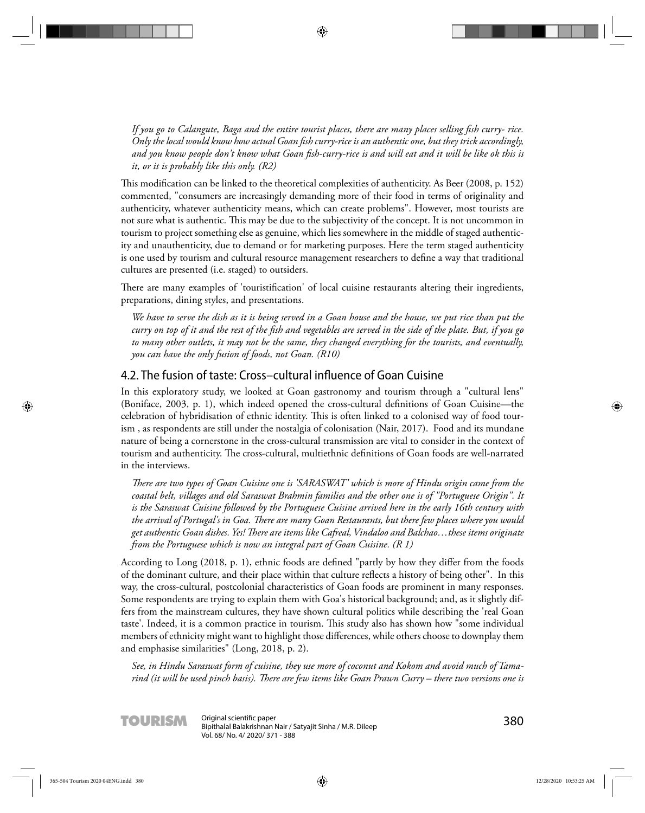*If you go to Calangute, Baga and the entire tourist places, there are many places selling fish curry- rice. Only the local would know how actual Goan fi sh curry-rice is an authentic one, but they trick accordingly,*  and you know people don't know what Goan fish-curry-rice is and will eat and it will be like ok this is *it, or it is probably like this only. (R2)*

This modification can be linked to the theoretical complexities of authenticity. As Beer (2008, p. 152) commented, "consumers are increasingly demanding more of their food in terms of originality and authenticity, whatever authenticity means, which can create problems". However, most tourists are not sure what is authentic. This may be due to the subjectivity of the concept. It is not uncommon in tourism to project something else as genuine, which lies somewhere in the middle of staged authenticity and unauthenticity, due to demand or for marketing purposes. Here the term staged authenticity is one used by tourism and cultural resource management researchers to define a way that traditional cultures are presented (i.e. staged) to outsiders.

There are many examples of 'touristification' of local cuisine restaurants altering their ingredients, preparations, dining styles, and presentations.

*We have to serve the dish as it is being served in a Goan house and the house, we put rice than put the curry on top of it and the rest of the fish and vegetables are served in the side of the plate. But, if you go to many other outlets, it may not be the same, they changed everything for the tourists, and eventually, you can have the only fusion of foods, not Goan. (R10)*

#### 4.2. The fusion of taste: Cross–cultural influence of Goan Cuisine

In this exploratory study, we looked at Goan gastronomy and tourism through a "cultural lens" (Boniface, 2003, p. 1), which indeed opened the cross-cultural definitions of Goan Cuisine—the celebration of hybridisation of ethnic identity. This is often linked to a colonised way of food tourism , as respondents are still under the nostalgia of colonisation (Nair, 2017). Food and its mundane nature of being a cornerstone in the cross-cultural transmission are vital to consider in the context of tourism and authenticity. The cross-cultural, multiethnic definitions of Goan foods are well-narrated in the interviews.

*Th ere are two types of Goan Cuisine one is 'SARASWAT' which is more of Hindu origin came from the coastal belt, villages and old Saraswat Brahmin families and the other one is of "Portuguese Origin". It is the Saraswat Cuisine followed by the Portuguese Cuisine arrived here in the early 16th century with the arrival of Portugal's in Goa. Th ere are many Goan Restaurants, but there few places where you would get authentic Goan dishes. Yes! Th ere are items like Cafreal, Vindaloo and Balchao…these items originate from the Portuguese which is now an integral part of Goan Cuisine. (R 1)*

According to Long (2018, p. 1), ethnic foods are defined "partly by how they differ from the foods of the dominant culture, and their place within that culture reflects a history of being other". In this way, the cross-cultural, postcolonial characteristics of Goan foods are prominent in many responses. Some respondents are trying to explain them with Goa's historical background; and, as it slightly differs from the mainstream cultures, they have shown cultural politics while describing the 'real Goan taste'. Indeed, it is a common practice in tourism. This study also has shown how "some individual members of ethnicity might want to highlight those differences, while others choose to downplay them and emphasise similarities" (Long, 2018, p. 2).

*See, in Hindu Saraswat form of cuisine, they use more of coconut and Kokom and avoid much of Tamarind (it will be used pinch basis). Th ere are few items like Goan Prawn Curry – there two versions one is* 

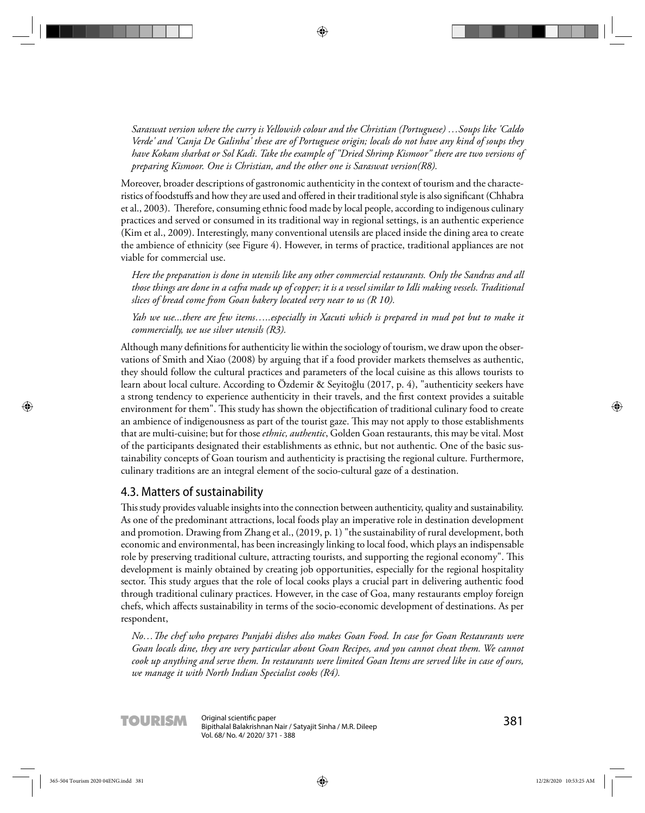*Saraswat version where the curry is Yellowish colour and the Christian (Portuguese) …Soups like 'Caldo Verde' and 'Canja De Galinha' these are of Portuguese origin; locals do not have any kind of soups they have Kokam sharbat or Sol Kadi. Take the example of "Dried Shrimp Kismoor" there are two versions of preparing Kismoor. One is Christian, and the other one is Saraswat version(R8).* 

Moreover, broader descriptions of gastronomic authenticity in the context of tourism and the characteristics of foodstuffs and how they are used and offered in their traditional style is also significant (Chhabra et al., 2003). Therefore, consuming ethnic food made by local people, according to indigenous culinary practices and served or consumed in its traditional way in regional settings, is an authentic experience (Kim et al., 2009). Interestingly, many conventional utensils are placed inside the dining area to create the ambience of ethnicity (see Figure 4). However, in terms of practice, traditional appliances are not viable for commercial use.

*Here the preparation is done in utensils like any other commercial restaurants. Only the Sandras and all those things are done in a cafra made up of copper; it is a vessel similar to Idli making vessels. Traditional slices of bread come from Goan bakery located very near to us (R 10).*

*Yah we use...there are few items…..especially in Xacuti which is prepared in mud pot but to make it commercially, we use silver utensils (R3).*

Although many definitions for authenticity lie within the sociology of tourism, we draw upon the observations of Smith and Xiao (2008) by arguing that if a food provider markets themselves as authentic, they should follow the cultural practices and parameters of the local cuisine as this allows tourists to learn about local culture. According to Özdemir & Seyitoğlu (2017, p. 4), "authenticity seekers have a strong tendency to experience authenticity in their travels, and the first context provides a suitable environment for them". This study has shown the objectification of traditional culinary food to create an ambience of indigenousness as part of the tourist gaze. This may not apply to those establishments that are multi-cuisine; but for those *ethnic, authentic*, Golden Goan restaurants, this may be vital. Most of the participants designated their establishments as ethnic, but not authentic. One of the basic sustainability concepts of Goan tourism and authenticity is practising the regional culture. Furthermore, culinary traditions are an integral element of the socio-cultural gaze of a destination.

#### 4.3. Matters of sustainability

This study provides valuable insights into the connection between authenticity, quality and sustainability. As one of the predominant attractions, local foods play an imperative role in destination development and promotion. Drawing from Zhang et al., (2019, p. 1) "the sustainability of rural development, both economic and environmental, has been increasingly linking to local food, which plays an indispensable role by preserving traditional culture, attracting tourists, and supporting the regional economy". This development is mainly obtained by creating job opportunities, especially for the regional hospitality sector. This study argues that the role of local cooks plays a crucial part in delivering authentic food through traditional culinary practices. However, in the case of Goa, many restaurants employ foreign chefs, which affects sustainability in terms of the socio-economic development of destinations. As per respondent,

*No…Th e chef who prepares Punjabi dishes also makes Goan Food. In case for Goan Restaurants were Goan locals dine, they are very particular about Goan Recipes, and you cannot cheat them. We cannot cook up anything and serve them. In restaurants were limited Goan Items are served like in case of ours, we manage it with North Indian Specialist cooks (R4).*

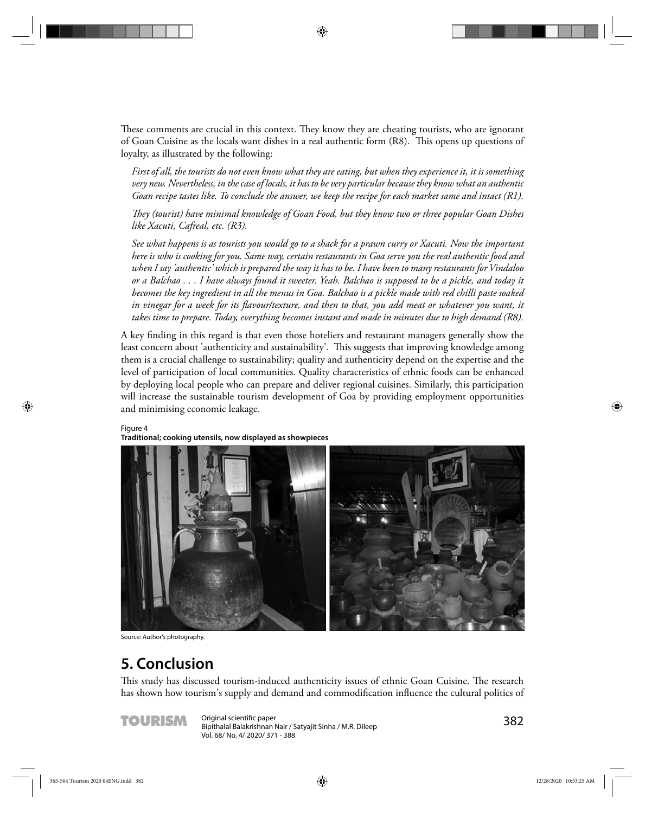These comments are crucial in this context. They know they are cheating tourists, who are ignorant of Goan Cuisine as the locals want dishes in a real authentic form (R8). This opens up questions of loyalty, as illustrated by the following:

*First of all, the tourists do not even know what they are eating, but when they experience it, it is something very new. Nevertheless, in the case of locals, it has to be very particular because they know what an authentic Goan recipe tastes like. To conclude the answer, we keep the recipe for each market same and intact (R1).* 

*Th ey (tourist) have minimal knowledge of Goan Food, but they know two or three popular Goan Dishes like Xacuti, Cafreal, etc. (R3).*

*See what happens is as tourists you would go to a shack for a prawn curry or Xacuti. Now the important here is who is cooking for you. Same way, certain restaurants in Goa serve you the real authentic food and when I say 'authentic' which is prepared the way it has to be. I have been to many restaurants for Vindaloo or a Balchao . . . I have always found it sweeter. Yeah. Balchao is supposed to be a pickle, and today it becomes the key ingredient in all the menus in Goa. Balchao is a pickle made with red chilli paste soaked*  in vinegar for a week for its flavour/texture, and then to that, you add meat or whatever you want, it *takes time to prepare. Today, everything becomes instant and made in minutes due to high demand (R8).*

A key finding in this regard is that even those hoteliers and restaurant managers generally show the least concern about 'authenticity and sustainability'. This suggests that improving knowledge among them is a crucial challenge to sustainability; quality and authenticity depend on the expertise and the level of participation of local communities. Quality characteristics of ethnic foods can be enhanced by deploying local people who can prepare and deliver regional cuisines. Similarly, this participation will increase the sustainable tourism development of Goa by providing employment opportunities and minimising economic leakage.

#### Figure 4

**Traditional; cooking utensils, now displayed as showpieces** 



Source: Author's photography.

# **5. Conclusion**

This study has discussed tourism-induced authenticity issues of ethnic Goan Cuisine. The research has shown how tourism's supply and demand and commodification influence the cultural politics of



TOURISM Original scientific paper<br>Bipithalal Balakrishnan Nair / Satyajit Sinha / M.R. Dileep<br>
San Dileep Vol. 68/ No. 4/ 2020/ 371 - 388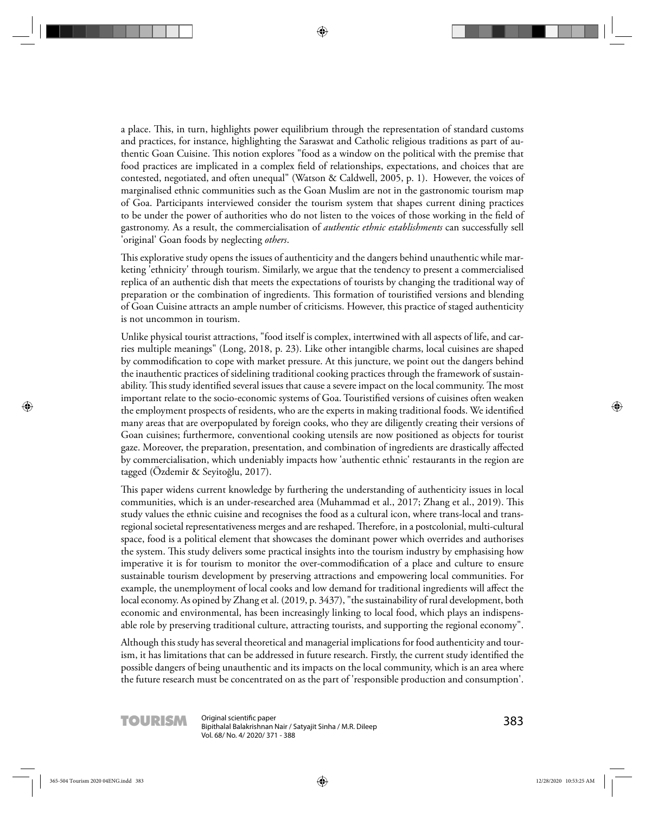a place. This, in turn, highlights power equilibrium through the representation of standard customs and practices, for instance, highlighting the Saraswat and Catholic religious traditions as part of authentic Goan Cuisine. This notion explores "food as a window on the political with the premise that food practices are implicated in a complex field of relationships, expectations, and choices that are contested, negotiated, and often unequal" (Watson & Caldwell, 2005, p. 1). However, the voices of marginalised ethnic communities such as the Goan Muslim are not in the gastronomic tourism map of Goa. Participants interviewed consider the tourism system that shapes current dining practices to be under the power of authorities who do not listen to the voices of those working in the field of gastronomy. As a result, the commercialisation of *authentic ethnic establishments* can successfully sell 'original' Goan foods by neglecting *others*.

This explorative study opens the issues of authenticity and the dangers behind unauthentic while marketing 'ethnicity' through tourism. Similarly, we argue that the tendency to present a commercialised replica of an authentic dish that meets the expectations of tourists by changing the traditional way of preparation or the combination of ingredients. This formation of touristified versions and blending of Goan Cuisine attracts an ample number of criticisms. However, this practice of staged authenticity is not uncommon in tourism.

Unlike physical tourist attractions, "food itself is complex, intertwined with all aspects of life, and carries multiple meanings" (Long, 2018, p. 23). Like other intangible charms, local cuisines are shaped by commodification to cope with market pressure. At this juncture, we point out the dangers behind the inauthentic practices of sidelining traditional cooking practices through the framework of sustainability. This study identified several issues that cause a severe impact on the local community. The most important relate to the socio-economic systems of Goa. Touristified versions of cuisines often weaken the employment prospects of residents, who are the experts in making traditional foods. We identified many areas that are overpopulated by foreign cooks, who they are diligently creating their versions of Goan cuisines; furthermore, conventional cooking utensils are now positioned as objects for tourist gaze. Moreover, the preparation, presentation, and combination of ingredients are drastically affected by commercialisation, which undeniably impacts how 'authentic ethnic' restaurants in the region are tagged (Özdemir & Seyitoğlu, 2017).

This paper widens current knowledge by furthering the understanding of authenticity issues in local communities, which is an under-researched area (Muhammad et al., 2017; Zhang et al., 2019). This study values the ethnic cuisine and recognises the food as a cultural icon, where trans-local and transregional societal representativeness merges and are reshaped. Therefore, in a postcolonial, multi-cultural space, food is a political element that showcases the dominant power which overrides and authorises the system. This study delivers some practical insights into the tourism industry by emphasising how imperative it is for tourism to monitor the over-commodification of a place and culture to ensure sustainable tourism development by preserving attractions and empowering local communities. For example, the unemployment of local cooks and low demand for traditional ingredients will affect the local economy. As opined by Zhang et al. (2019, p. 3437), "the sustainability of rural development, both economic and environmental, has been increasingly linking to local food, which plays an indispensable role by preserving traditional culture, attracting tourists, and supporting the regional economy".

Although this study has several theoretical and managerial implications for food authenticity and tourism, it has limitations that can be addressed in future research. Firstly, the current study identified the possible dangers of being unauthentic and its impacts on the local community, which is an area where the future research must be concentrated on as the part of 'responsible production and consumption'.

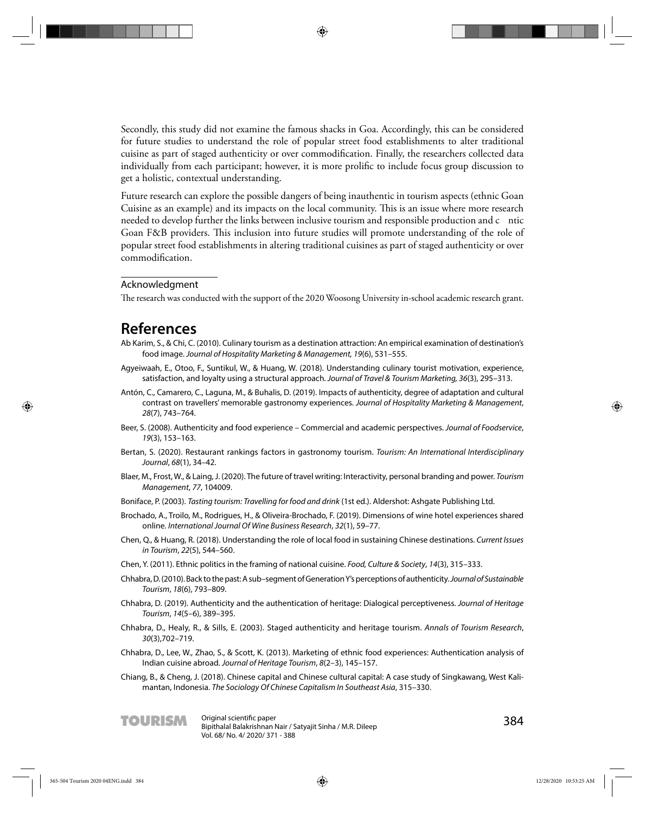Secondly, this study did not examine the famous shacks in Goa. Accordingly, this can be considered for future studies to understand the role of popular street food establishments to alter traditional cuisine as part of staged authenticity or over commodification. Finally, the researchers collected data individually from each participant; however, it is more prolific to include focus group discussion to get a holistic, contextual understanding.

Future research can explore the possible dangers of being inauthentic in tourism aspects (ethnic Goan Cuisine as an example) and its impacts on the local community. This is an issue where more research needed to develop further the links between inclusive tourism and responsible production and c ntic Goan F&B providers. This inclusion into future studies will promote understanding of the role of popular street food establishments in altering traditional cuisines as part of staged authenticity or over commodification.

#### Acknowledgment

The research was conducted with the support of the 2020 Woosong University in-school academic research grant.

## **References**

- Ab Karim, S., & Chi, C. (2010). Culinary tourism as a destination attraction: An empirical examination of destination's food image. Journal of Hospitality Marketing & Management, 19(6), 531–555.
- Agyeiwaah, E., Otoo, F., Suntikul, W., & Huang, W. (2018). Understanding culinary tourist motivation, experience, satisfaction, and loyalty using a structural approach. Journal of Travel & Tourism Marketing, 36(3), 295–313.
- Antón, C., Camarero, C., Laguna, M., & Buhalis, D. (2019). Impacts of authenticity, degree of adaptation and cultural contrast on travellers' memorable gastronomy experiences. Journal of Hospitality Marketing & Management, 28(7), 743–764.
- Beer, S. (2008). Authenticity and food experience Commercial and academic perspectives. Journal of Foodservice, 19(3), 153–163.
- Bertan, S. (2020). Restaurant rankings factors in gastronomy tourism. Tourism: An International Interdisciplinary Journal, 68(1), 34–42.
- Blaer, M., Frost, W., & Laing, J. (2020). The future of travel writing: Interactivity, personal branding and power. Tourism Management, 77, 104009.
- Boniface, P. (2003). Tasting tourism: Travelling for food and drink (1st ed.). Aldershot: Ashgate Publishing Ltd.
- Brochado, A., Troilo, M., Rodrigues, H., & Oliveira-Brochado, F. (2019). Dimensions of wine hotel experiences shared online. International Journal Of Wine Business Research, 32(1), 59–77.
- Chen, Q., & Huang, R. (2018). Understanding the role of local food in sustaining Chinese destinations. Current Issues in Tourism, 22(5), 544–560.
- Chen, Y. (2011). Ethnic politics in the framing of national cuisine. Food, Culture & Society, 14(3), 315–333.
- Chhabra, D. (2010). Back to the past: A sub–segment of Generation Y's perceptions of authenticity. Journal of Sustainable Tourism, 18(6), 793–809.
- Chhabra, D. (2019). Authenticity and the authentication of heritage: Dialogical perceptiveness. Journal of Heritage Tourism, 14(5–6), 389–395.
- Chhabra, D., Healy, R., & Sills, E. (2003). Staged authenticity and heritage tourism. Annals of Tourism Research, 30(3),702–719.
- Chhabra, D., Lee, W., Zhao, S., & Scott, K. (2013). Marketing of ethnic food experiences: Authentication analysis of Indian cuisine abroad. Journal of Heritage Tourism, 8(2–3), 145–157.
- Chiang, B., & Cheng, J. (2018). Chinese capital and Chinese cultural capital: A case study of Singkawang, West Kalimantan, Indonesia. The Sociology Of Chinese Capitalism In Southeast Asia, 315–330.

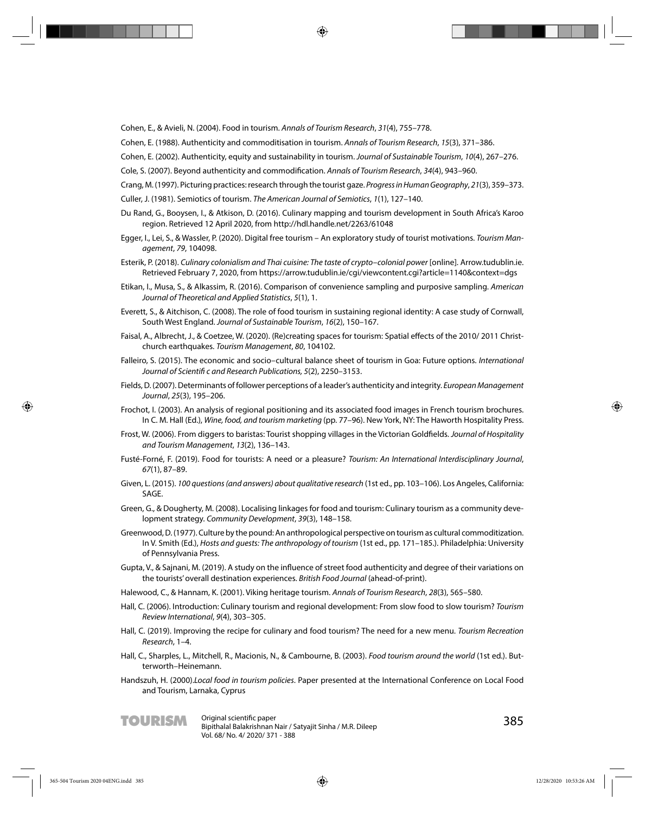Cohen, E., & Avieli, N. (2004). Food in tourism. Annals of Tourism Research, 31(4), 755–778.

Cohen, E. (1988). Authenticity and commoditisation in tourism. Annals of Tourism Research, 15(3), 371–386.

Cohen, E. (2002). Authenticity, equity and sustainability in tourism. Journal of Sustainable Tourism, 10(4), 267–276.

Cole, S. (2007). Beyond authenticity and commodification. Annals of Tourism Research, 34(4), 943-960.

Crang, M. (1997). Picturing practices: research through the tourist gaze. Progress in Human Geography, 21(3), 359–373.

- Culler, J. (1981). Semiotics of tourism. The American Journal of Semiotics, 1(1), 127–140.
- Du Rand, G., Booysen, I., & Atkison, D. (2016). Culinary mapping and tourism development in South Africa's Karoo region. Retrieved 12 April 2020, from http://hdl.handle.net/2263/61048
- Egger, I., Lei, S., & Wassler, P. (2020). Digital free tourism An exploratory study of tourist motivations. Tourism Management, 79, 104098.
- Esterik, P. (2018). Culinary colonialism and Thai cuisine: The taste of crypto–colonial power [online]. Arrow.tudublin.ie. Retrieved February 7, 2020, from https://arrow.tudublin.ie/cgi/viewcontent.cgi?article=1140&context=dgs
- Etikan, I., Musa, S., & Alkassim, R. (2016). Comparison of convenience sampling and purposive sampling. American Journal of Theoretical and Applied Statistics, 5(1), 1.
- Everett, S., & Aitchison, C. (2008). The role of food tourism in sustaining regional identity: A case study of Cornwall, South West England. Journal of Sustainable Tourism, 16(2), 150–167.
- Faisal, A., Albrecht, J., & Coetzee, W. (2020). (Re)creating spaces for tourism: Spatial effects of the 2010/2011 Christchurch earthquakes. Tourism Management, 80, 104102.
- Falleiro, S. (2015). The economic and socio–cultural balance sheet of tourism in Goa: Future options. International Journal of Scientifi c and Research Publications, 5(2), 2250–3153.
- Fields, D. (2007). Determinants of follower perceptions of a leader's authenticity and integrity. European Management Journal, 25(3), 195–206.
- Frochot, I. (2003). An analysis of regional positioning and its associated food images in French tourism brochures. In C. M. Hall (Ed.), Wine, food, and tourism marketing (pp. 77–96). New York, NY: The Haworth Hospitality Press.
- Frost, W. (2006). From diggers to baristas: Tourist shopping villages in the Victorian Goldfields. Journal of Hospitality and Tourism Management, 13(2), 136–143.
- Fusté-Forné, F. (2019). Food for tourists: A need or a pleasure? Tourism: An International Interdisciplinary Journal, 67(1), 87–89.
- Given, L. (2015). 100 questions (and answers) about qualitative research (1st ed., pp. 103–106). Los Angeles, California: SAGE.
- Green, G., & Dougherty, M. (2008). Localising linkages for food and tourism: Culinary tourism as a community development strategy. Community Development, 39(3), 148–158.
- Greenwood, D. (1977). Culture by the pound: An anthropological perspective on tourism as cultural commoditization. In V. Smith (Ed.), Hosts and guests: The anthropology of tourism (1st ed., pp. 171–185.). Philadelphia: University of Pennsylvania Press.
- Gupta, V., & Sajnani, M. (2019). A study on the influence of street food authenticity and degree of their variations on the tourists' overall destination experiences. British Food Journal (ahead-of-print).

Halewood, C., & Hannam, K. (2001). Viking heritage tourism. Annals of Tourism Research, 28(3), 565–580.

- Hall, C. (2006). Introduction: Culinary tourism and regional development: From slow food to slow tourism? Tourism Review International, 9(4), 303–305.
- Hall, C. (2019). Improving the recipe for culinary and food tourism? The need for a new menu. Tourism Recreation Research, 1–4.
- Hall, C., Sharples, L., Mitchell, R., Macionis, N., & Cambourne, B. (2003). Food tourism around the world (1st ed.). Butterworth–Heinemann.
- Handszuh, H. (2000).Local food in tourism policies. Paper presented at the International Conference on Local Food and Tourism, Larnaka, Cyprus

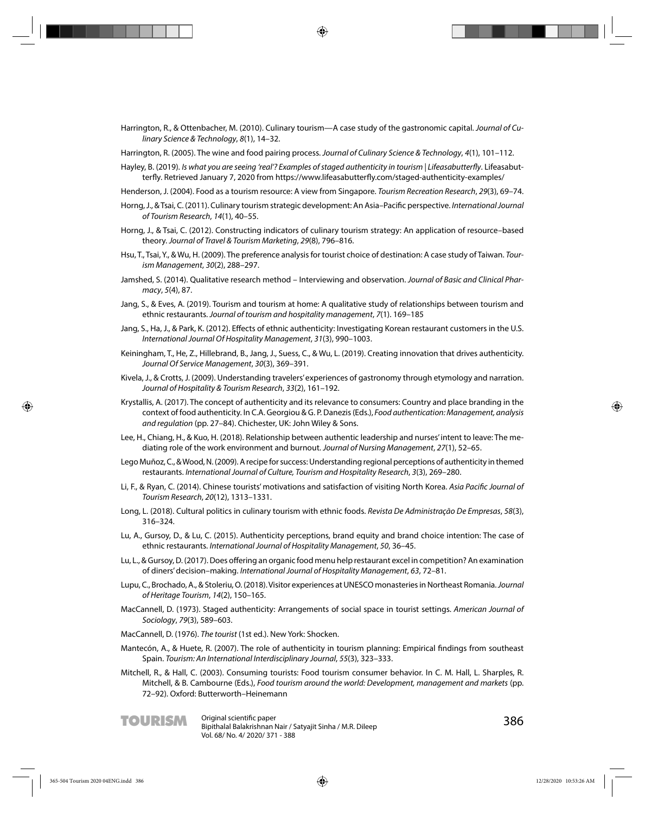- Harrington, R., & Ottenbacher, M. (2010). Culinary tourism—A case study of the gastronomic capital. Journal of Culinary Science & Technology, 8(1), 14–32.
- Harrington, R. (2005). The wine and food pairing process. Journal of Culinary Science & Technology, 4(1), 101–112.
- Hayley, B. (2019). Is what you are seeing 'real'? Examples of staged authenticity in tourism | Lifeasabutterfly. Lifeasabutterfly. Retrieved January 7, 2020 from https://www.lifeasabutterfly.com/staged-authenticity-examples/
- Henderson, J. (2004). Food as a tourism resource: A view from Singapore. Tourism Recreation Research, 29(3), 69–74.
- Horng, J., & Tsai, C. (2011). Culinary tourism strategic development: An Asia-Pacific perspective. International Journal of Tourism Research, 14(1), 40–55.
- Horng, J., & Tsai, C. (2012). Constructing indicators of culinary tourism strategy: An application of resource–based theory. Journal of Travel & Tourism Marketing, 29(8), 796–816.
- Hsu, T., Tsai, Y., & Wu, H. (2009). The preference analysis for tourist choice of destination: A case study of Taiwan. Tourism Management, 30(2), 288–297.
- Jamshed, S. (2014). Qualitative research method Interviewing and observation. Journal of Basic and Clinical Pharmacy, 5(4), 87.
- Jang, S., & Eves, A. (2019). Tourism and tourism at home: A qualitative study of relationships between tourism and ethnic restaurants. Journal of tourism and hospitality management, 7(1). 169–185
- Jang, S., Ha, J., & Park, K. (2012). Effects of ethnic authenticity: Investigating Korean restaurant customers in the U.S. International Journal Of Hospitality Management, 31(3), 990–1003.
- Keiningham, T., He, Z., Hillebrand, B., Jang, J., Suess, C., & Wu, L. (2019). Creating innovation that drives authenticity. Journal Of Service Management, 30(3), 369–391.
- Kivela, J., & Crotts, J. (2009). Understanding travelers' experiences of gastronomy through etymology and narration. Journal of Hospitality & Tourism Research, 33(2), 161–192.
- Krystallis, A. (2017). The concept of authenticity and its relevance to consumers: Country and place branding in the context of food authenticity. In C.A. Georgiou & G. P. Danezis (Eds.), Food authentication: Management, analysis and regulation (pp. 27–84). Chichester, UK: John Wiley & Sons.
- Lee, H., Chiang, H., & Kuo, H. (2018). Relationship between authentic leadership and nurses' intent to leave: The mediating role of the work environment and burnout. Journal of Nursing Management, 27(1), 52–65.
- Lego Muñoz, C., & Wood, N. (2009). A recipe for success: Understanding regional perceptions of authenticity in themed restaurants. International Journal of Culture, Tourism and Hospitality Research, 3(3), 269–280.
- Li, F., & Ryan, C. (2014). Chinese tourists' motivations and satisfaction of visiting North Korea. Asia Pacific Journal of Tourism Research, 20(12), 1313–1331.
- Long, L. (2018). Cultural politics in culinary tourism with ethnic foods. Revista De Administração De Empresas, 58(3), 316–324.
- Lu, A., Gursoy, D., & Lu, C. (2015). Authenticity perceptions, brand equity and brand choice intention: The case of ethnic restaurants. International Journal of Hospitality Management, 50, 36–45.
- Lu, L., & Gursoy, D. (2017). Does offering an organic food menu help restaurant excel in competition? An examination of diners' decision–making. International Journal of Hospitality Management, 63, 72–81.
- Lupu, C., Brochado, A., & Stoleriu, O. (2018). Visitor experiences at UNESCO monasteries in Northeast Romania. Journal of Heritage Tourism, 14(2), 150–165.
- MacCannell, D. (1973). Staged authenticity: Arrangements of social space in tourist settings. American Journal of Sociology, 79(3), 589–603.
- MacCannell, D. (1976). The tourist (1st ed.). New York: Shocken.
- Mantecón, A., & Huete, R. (2007). The role of authenticity in tourism planning: Empirical findings from southeast Spain. Tourism: An International Interdisciplinary Journal, 55(3), 323–333.
- Mitchell, R., & Hall, C. (2003). Consuming tourists: Food tourism consumer behavior. In C. M. Hall, L. Sharples, R. Mitchell, & B. Cambourne (Eds.), Food tourism around the world: Development, management and markets (pp. 72–92). Oxford: Butterworth–Heinemann

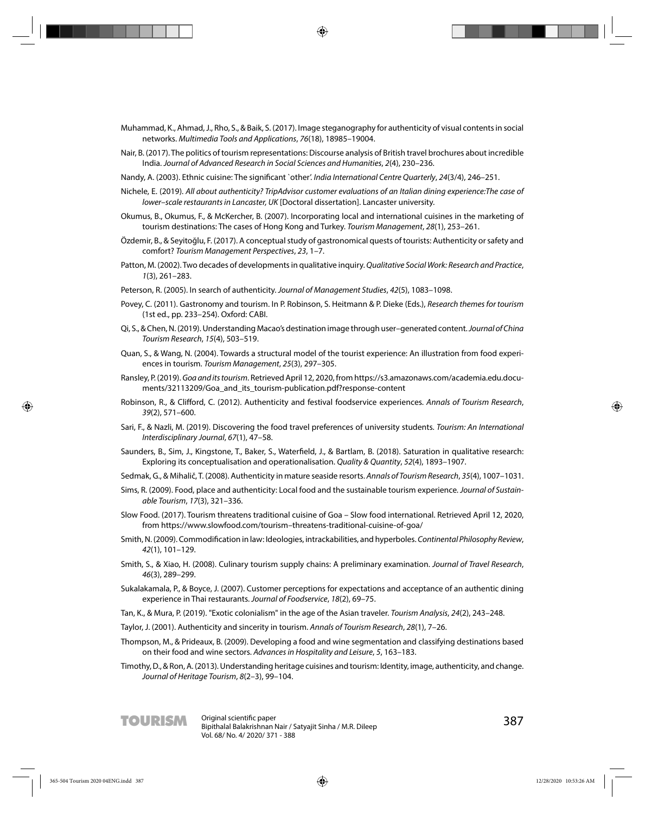- Muhammad, K., Ahmad, J., Rho, S., & Baik, S. (2017). Image steganography for authenticity of visual contents in social networks. Multimedia Tools and Applications, 76(18), 18985–19004.
- Nair, B. (2017). The politics of tourism representations: Discourse analysis of British travel brochures about incredible India. Journal of Advanced Research in Social Sciences and Humanities, 2(4), 230–236.
- Nandy, A. (2003). Ethnic cuisine: The significant `other'. India International Centre Quarterly, 24(3/4), 246-251.
- Nichele, E. (2019). All about authenticity? TripAdvisor customer evaluations of an Italian dining experience:The case of lower–scale restaurants in Lancaster, UK [Doctoral dissertation]. Lancaster university.
- Okumus, B., Okumus, F., & McKercher, B. (2007). Incorporating local and international cuisines in the marketing of tourism destinations: The cases of Hong Kong and Turkey. Tourism Management, 28(1), 253-261.
- Özdemir, B., & Seyitoğlu, F. (2017). A conceptual study of gastronomical quests of tourists: Authenticity or safety and comfort? Tourism Management Perspectives, 23, 1–7.
- Patton, M. (2002). Two decades of developments in qualitative inquiry. Qualitative Social Work: Research and Practice, 1(3), 261–283.
- Peterson, R. (2005). In search of authenticity. Journal of Management Studies, 42(5), 1083–1098.
- Povey, C. (2011). Gastronomy and tourism. In P. Robinson, S. Heitmann & P. Dieke (Eds.), Research themes for tourism (1st ed., pp. 233–254). Oxford: CABI.
- Qi, S., & Chen, N. (2019). Understanding Macao's destination image through user–generated content. Journal of China Tourism Research, 15(4), 503–519.
- Quan, S., & Wang, N. (2004). Towards a structural model of the tourist experience: An illustration from food experiences in tourism. Tourism Management, 25(3), 297–305.
- Ransley, P. (2019). Goa and its tourism. Retrieved April 12, 2020, from https://s3.amazonaws.com/academia.edu.documents/32113209/Goa\_and\_its\_tourism-publication.pdf?response-content
- Robinson, R., & Clifford, C. (2012). Authenticity and festival foodservice experiences. Annals of Tourism Research, 39(2), 571–600.
- Sari, F., & Nazli, M. (2019). Discovering the food travel preferences of university students. Tourism: An International Interdisciplinary Journal, 67(1), 47–58.
- Saunders, B., Sim, J., Kingstone, T., Baker, S., Waterfield, J., & Bartlam, B. (2018). Saturation in qualitative research: Exploring its conceptualisation and operationalisation. Quality & Quantity, 52(4), 1893–1907.
- Sedmak, G., & Mihalič, T. (2008). Authenticity in mature seaside resorts. Annals of Tourism Research, 35(4), 1007–1031.
- Sims, R. (2009). Food, place and authenticity: Local food and the sustainable tourism experience. Journal of Sustainable Tourism, 17(3), 321–336.
- Slow Food. (2017). Tourism threatens traditional cuisine of Goa Slow food international. Retrieved April 12, 2020, from https://www.slowfood.com/tourism–threatens-traditional-cuisine-of-goa/
- Smith, N. (2009). Commodification in law: Ideologies, intrackabilities, and hyperboles. Continental Philosophy Review, 42(1), 101–129.
- Smith, S., & Xiao, H. (2008). Culinary tourism supply chains: A preliminary examination. Journal of Travel Research, 46(3), 289–299.
- Sukalakamala, P., & Boyce, J. (2007). Customer perceptions for expectations and acceptance of an authentic dining experience in Thai restaurants. Journal of Foodservice, 18(2), 69–75.
- Tan, K., & Mura, P. (2019). "Exotic colonialism" in the age of the Asian traveler. Tourism Analysis, 24(2), 243–248.
- Taylor, J. (2001). Authenticity and sincerity in tourism. Annals of Tourism Research, 28(1), 7–26.
- Thompson, M., & Prideaux, B. (2009). Developing a food and wine segmentation and classifying destinations based on their food and wine sectors. Advances in Hospitality and Leisure, 5, 163–183.
- Timothy, D., & Ron, A. (2013). Understanding heritage cuisines and tourism: Identity, image, authenticity, and change. Journal of Heritage Tourism, 8(2–3), 99–104.